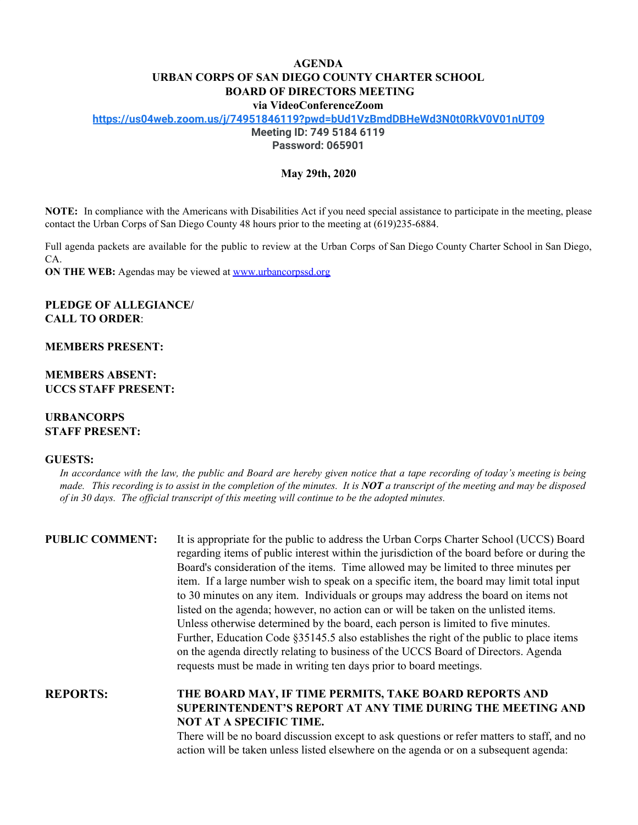# **AGENDA URBAN CORPS OF SAN DIEGO COUNTY CHARTER SCHOOL BOARD OF DIRECTORS MEETING**

**via VideoConferenceZoom**

**<https://us04web.zoom.us/j/74951846119?pwd=bUd1VzBmdDBHeWd3N0t0RkV0V01nUT09>**

**Meeting ID: 749 5184 6119**

**Password: 065901**

### **May 29th, 2020**

**NOTE:** In compliance with the Americans with Disabilities Act if you need special assistance to participate in the meeting, please contact the Urban Corps of San Diego County 48 hours prior to the meeting at (619)235-6884.

Full agenda packets are available for the public to review at the Urban Corps of San Diego County Charter School in San Diego, CA.

**ON THE WEB:** Agendas may be viewed at [www.urbancorpssd.org](http://www.urbancorpssd.org/)

## **PLEDGE OF ALLEGIANCE/ CALL TO ORDER**:

**MEMBERS PRESENT:**

**MEMBERS ABSENT: UCCS STAFF PRESENT:**

## **URBANCORPS STAFF PRESENT:**

#### **GUESTS:**

In accordance with the law, the public and Board are hereby given notice that a tape recording of today's meeting is being made. This recording is to assist in the completion of the minutes. It is **NOT** a transcript of the meeting and may be disposed *of in 30 days. The of icial transcript of this meeting will continue to be the adopted minutes.*

| <b>PUBLIC COMMENT:</b> | It is appropriate for the public to address the Urban Corps Charter School (UCCS) Board<br>regarding items of public interest within the jurisdiction of the board before or during the<br>Board's consideration of the items. Time allowed may be limited to three minutes per<br>item. If a large number wish to speak on a specific item, the board may limit total input<br>to 30 minutes on any item. Individuals or groups may address the board on items not<br>listed on the agenda; however, no action can or will be taken on the unlisted items.<br>Unless otherwise determined by the board, each person is limited to five minutes.<br>Further, Education Code §35145.5 also establishes the right of the public to place items<br>on the agenda directly relating to business of the UCCS Board of Directors. Agenda<br>requests must be made in writing ten days prior to board meetings. |
|------------------------|----------------------------------------------------------------------------------------------------------------------------------------------------------------------------------------------------------------------------------------------------------------------------------------------------------------------------------------------------------------------------------------------------------------------------------------------------------------------------------------------------------------------------------------------------------------------------------------------------------------------------------------------------------------------------------------------------------------------------------------------------------------------------------------------------------------------------------------------------------------------------------------------------------|
| <b>REPORTS:</b>        | THE BOARD MAY, IF TIME PERMITS, TAKE BOARD REPORTS AND<br>SUPERINTENDENT'S REPORT AT ANY TIME DURING THE MEETING AND<br><b>NOT AT A SPECIFIC TIME.</b><br>There will be no board discussion except to ask questions or refer matters to staff, and no                                                                                                                                                                                                                                                                                                                                                                                                                                                                                                                                                                                                                                                    |

There will be no board discussion except to ask questions or refer matters to staff, and no action will be taken unless listed elsewhere on the agenda or on a subsequent agenda: